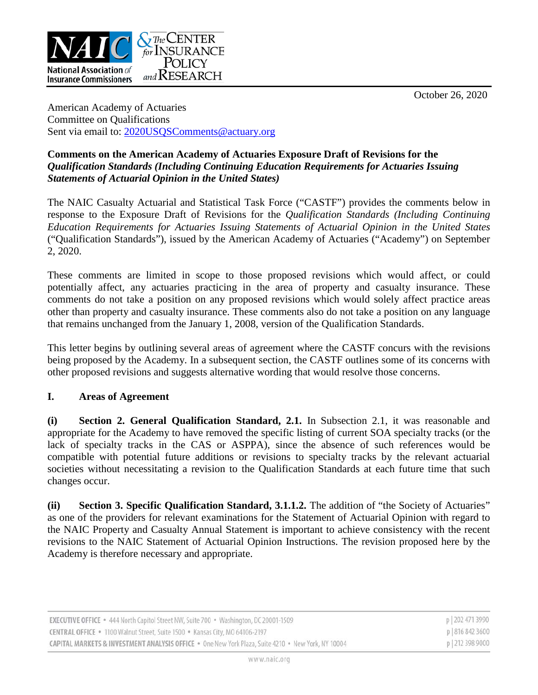October 26, 2020



American Academy of Actuaries Committee on Qualifications Sent via email to: [2020USQSComments@actuary.org](mailto:2020USQSComments@actuary.org)

## **Comments on the American Academy of Actuaries Exposure Draft of Revisions for the**  *Qualification Standards (Including Continuing Education Requirements for Actuaries Issuing Statements of Actuarial Opinion in the United States)*

The NAIC Casualty Actuarial and Statistical Task Force ("CASTF") provides the comments below in response to the Exposure Draft of Revisions for the *Qualification Standards (Including Continuing Education Requirements for Actuaries Issuing Statements of Actuarial Opinion in the United States* ("Qualification Standards"), issued by the American Academy of Actuaries ("Academy") on September 2, 2020.

These comments are limited in scope to those proposed revisions which would affect, or could potentially affect, any actuaries practicing in the area of property and casualty insurance. These comments do not take a position on any proposed revisions which would solely affect practice areas other than property and casualty insurance. These comments also do not take a position on any language that remains unchanged from the January 1, 2008, version of the Qualification Standards.

This letter begins by outlining several areas of agreement where the CASTF concurs with the revisions being proposed by the Academy. In a subsequent section, the CASTF outlines some of its concerns with other proposed revisions and suggests alternative wording that would resolve those concerns.

## **I. Areas of Agreement**

**(i) Section 2. General Qualification Standard, 2.1.** In Subsection 2.1, it was reasonable and appropriate for the Academy to have removed the specific listing of current SOA specialty tracks (or the lack of specialty tracks in the CAS or ASPPA), since the absence of such references would be compatible with potential future additions or revisions to specialty tracks by the relevant actuarial societies without necessitating a revision to the Qualification Standards at each future time that such changes occur.

**(ii) Section 3. Specific Qualification Standard, 3.1.1.2.** The addition of "the Society of Actuaries" as one of the providers for relevant examinations for the Statement of Actuarial Opinion with regard to the NAIC Property and Casualty Annual Statement is important to achieve consistency with the recent revisions to the NAIC Statement of Actuarial Opinion Instructions. The revision proposed here by the Academy is therefore necessary and appropriate.

| <b>EXECUTIVE OFFICE • 444 North Capitol Street NW, Suite 700 • Washington, DC 20001-1509</b>        | p   202 471 3990 |
|-----------------------------------------------------------------------------------------------------|------------------|
| <b>CENTRAL OFFICE •</b> 1100 Walnut Street, Suite 1500 • Kansas City, MO 64106-2197                 | p 816 842 3600   |
| CAPITAL MARKETS & INVESTMENT ANALYSIS OFFICE . One New York Plaza, Suite 4210. . New York, NY 10004 | p 212 398 9000   |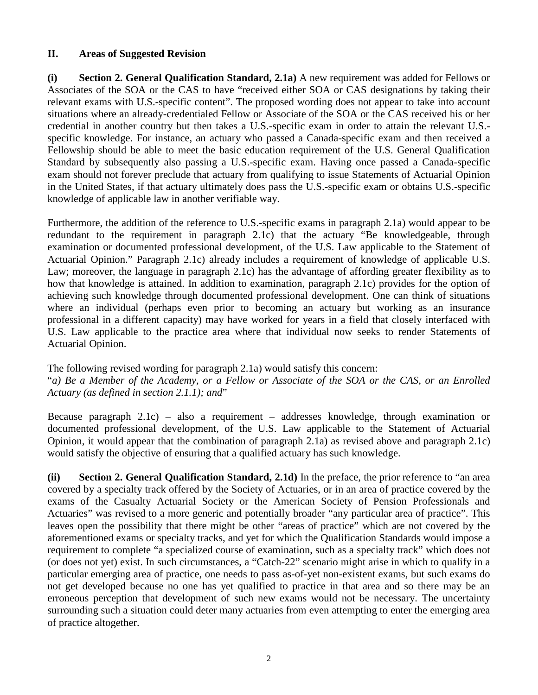## **II. Areas of Suggested Revision**

**(i) Section 2. General Qualification Standard, 2.1a)** A new requirement was added for Fellows or Associates of the SOA or the CAS to have "received either SOA or CAS designations by taking their relevant exams with U.S.-specific content". The proposed wording does not appear to take into account situations where an already-credentialed Fellow or Associate of the SOA or the CAS received his or her credential in another country but then takes a U.S.-specific exam in order to attain the relevant U.S. specific knowledge. For instance, an actuary who passed a Canada-specific exam and then received a Fellowship should be able to meet the basic education requirement of the U.S. General Qualification Standard by subsequently also passing a U.S.-specific exam. Having once passed a Canada-specific exam should not forever preclude that actuary from qualifying to issue Statements of Actuarial Opinion in the United States, if that actuary ultimately does pass the U.S.-specific exam or obtains U.S.-specific knowledge of applicable law in another verifiable way.

Furthermore, the addition of the reference to U.S.-specific exams in paragraph 2.1a) would appear to be redundant to the requirement in paragraph 2.1c) that the actuary "Be knowledgeable, through examination or documented professional development, of the U.S. Law applicable to the Statement of Actuarial Opinion." Paragraph 2.1c) already includes a requirement of knowledge of applicable U.S. Law; moreover, the language in paragraph 2.1c) has the advantage of affording greater flexibility as to how that knowledge is attained. In addition to examination, paragraph 2.1c) provides for the option of achieving such knowledge through documented professional development. One can think of situations where an individual (perhaps even prior to becoming an actuary but working as an insurance professional in a different capacity) may have worked for years in a field that closely interfaced with U.S. Law applicable to the practice area where that individual now seeks to render Statements of Actuarial Opinion.

The following revised wording for paragraph 2.1a) would satisfy this concern: "*a) Be a Member of the Academy, or a Fellow or Associate of the SOA or the CAS, or an Enrolled Actuary (as defined in section 2.1.1); and*"

Because paragraph 2.1c) – also a requirement – addresses knowledge, through examination or documented professional development, of the U.S. Law applicable to the Statement of Actuarial Opinion, it would appear that the combination of paragraph 2.1a) as revised above and paragraph 2.1c) would satisfy the objective of ensuring that a qualified actuary has such knowledge.

**(ii) Section 2. General Qualification Standard, 2.1d)** In the preface, the prior reference to "an area covered by a specialty track offered by the Society of Actuaries, or in an area of practice covered by the exams of the Casualty Actuarial Society or the American Society of Pension Professionals and Actuaries" was revised to a more generic and potentially broader "any particular area of practice". This leaves open the possibility that there might be other "areas of practice" which are not covered by the aforementioned exams or specialty tracks, and yet for which the Qualification Standards would impose a requirement to complete "a specialized course of examination, such as a specialty track" which does not (or does not yet) exist. In such circumstances, a "Catch-22" scenario might arise in which to qualify in a particular emerging area of practice, one needs to pass as-of-yet non-existent exams, but such exams do not get developed because no one has yet qualified to practice in that area and so there may be an erroneous perception that development of such new exams would not be necessary. The uncertainty surrounding such a situation could deter many actuaries from even attempting to enter the emerging area of practice altogether.